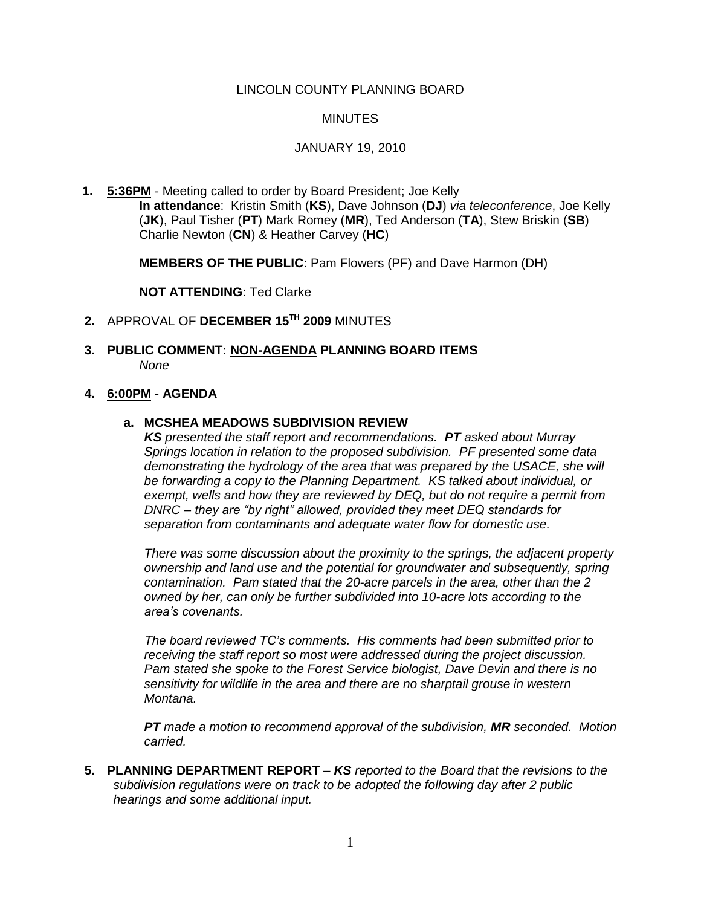### LINCOLN COUNTY PLANNING BOARD

#### **MINUTES**

#### JANUARY 19, 2010

**1. 5:36PM** - Meeting called to order by Board President; Joe Kelly **In attendance**: Kristin Smith (**KS**), Dave Johnson (**DJ**) *via teleconference*, Joe Kelly (**JK**), Paul Tisher (**PT**) Mark Romey (**MR**), Ted Anderson (**TA**), Stew Briskin (**SB**) Charlie Newton (**CN**) & Heather Carvey (**HC**)

**MEMBERS OF THE PUBLIC**: Pam Flowers (PF) and Dave Harmon (DH)

**NOT ATTENDING**: Ted Clarke

- **2.** APPROVAL OF **DECEMBER 15 TH 2009** MINUTES
- **3. PUBLIC COMMENT: NON-AGENDA PLANNING BOARD ITEMS** *None*

#### **4. 6:00PM - AGENDA**

## **a. MCSHEA MEADOWS SUBDIVISION REVIEW**

*KS presented the staff report and recommendations. PT asked about Murray Springs location in relation to the proposed subdivision. PF presented some data demonstrating the hydrology of the area that was prepared by the USACE, she will be forwarding a copy to the Planning Department. KS talked about individual, or exempt, wells and how they are reviewed by DEQ, but do not require a permit from DNRC – they are "by right" allowed, provided they meet DEQ standards for separation from contaminants and adequate water flow for domestic use.* 

*There was some discussion about the proximity to the springs, the adjacent property ownership and land use and the potential for groundwater and subsequently, spring contamination. Pam stated that the 20-acre parcels in the area, other than the 2 owned by her, can only be further subdivided into 10-acre lots according to the area's covenants.* 

*The board reviewed TC's comments. His comments had been submitted prior to receiving the staff report so most were addressed during the project discussion. Pam stated she spoke to the Forest Service biologist, Dave Devin and there is no sensitivity for wildlife in the area and there are no sharptail grouse in western Montana.* 

*PT made a motion to recommend approval of the subdivision, MR seconded. Motion carried.*

**5. PLANNING DEPARTMENT REPORT** *– KS reported to the Board that the revisions to the subdivision regulations were on track to be adopted the following day after 2 public hearings and some additional input.*